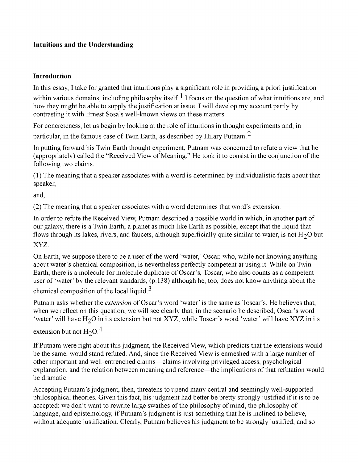### Intuitions and the Understanding

#### Introduction

In this essay, I take for granted that intuitions play a significant role in providing a priori justification within various domains, including philosophy itself.<sup>1</sup> I focus on the question of what intuitions are, and how they might be able to supply the justification at issue. I will develop my account partly by contrasting it with Ernest Sosa's well-known views on these matters.

For concreteness, let us begin by looking at the role of intuitions in thought experiments and, in

particular, in the famous case of Twin Earth, as described by Hilary Putnam.<sup>2</sup>

In putting forward his Twin Earth thought experiment, Putnam was concerned to refute a view that he (appropriately) called the "Received View of Meaning." He took it to consist in the conjunction of the following two claims:

(1) The meaning that a speaker associates with a word is determined by individualistic facts about that speaker,

and,

(2) The meaning that a speaker associates with a word determines that word's extension.

In order to refute the Received View, Putnam described a possible world in which, in another part of our galaxy, there is a Twin Earth, a planet as much like Earth as possible, except that the liquid that flows through its lakes, rivers, and faucets, although superficially quite similar to water, is not  $H_2O$  but XYZ.

On Earth, we suppose there to be a user of the word 'water,'Oscar, who, while not knowing anything about water's chemical composition, is nevertheless perfectly competent at using it. While on Twin Earth, there is a molecule for molecule duplicate of Oscar's, Toscar, who also counts as a competent user of 'water' by the relevant standards, (p.138) although he, too, does not know anything about the chemical composition of the local liquid.<sup>3</sup>

Putnam asks whether the *extension* of Oscar's word 'water' is the same as Toscar's. He believes that, when we reflect on this question, we will see clearly that, in the scenario he described, Oscar's word 'water' will have  $H_2O$  in its extension but not XYZ; while Toscar's word 'water' will have XYZ in its

extension but not  $H_2O<sup>4</sup>$ 

If Putnam were right about this judgment, the Received View, which predicts that the extensions would be the same, would stand refuted. And, since the Received View is enmeshed with a large number of other important and well-entrenched claims—claims involving privileged access, psychological explanation, and the relation between meaning and reference—the implications of that refutation would be dramatic.

Accepting Putnam's judgment, then, threatens to upend many central and seemingly well-supported philosophical theories. Given this fact, his judgment had better be pretty strongly justified if it is to be accepted: we don't want to rewrite large swathes of the philosophy of mind, the philosophy of language, and epistemology, if Putnam's judgment is just something that he is inclined to believe, without adequate justification. Clearly, Putnam believes his judgment to be strongly justified; and so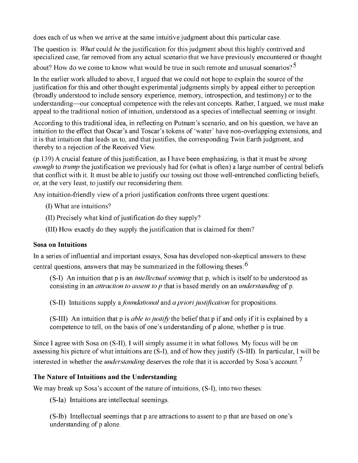does each of us when we arrive at the same intuitive judgment about this particular case.

The question is: *What* could be the justification for this judgment about this highly contrived and specialized case, far removed from any actual scenario that we have previously encountered or thought about? How do we come to know what would be true in such remote and unusual scenarios?<sup>5</sup>

In the earlier work alluded to above, I argued that we could not hope to explain the source of the justification for this and other thought experimental judgments simply by appeal either to perception (broadly understood to include sensory experience, memory, introspection, and testimony) or to the understanding—our conceptual competence with the relevant concepts. Rather, I argued, we must make appeal to the traditional notion of intuition, understood as a species of intellectual seeming or insight.

According to this traditional idea, in reflecting on Putnam's scenario, and on his question, we have an intuition to the effect that Oscar's and Toscar's tokens of 'water'have non-overlapping extensions, and it is that intuition that leads us to, and that justifies, the corresponding Twin Earth judgment, and thereby to a rejection of the Received View.

(p.139) A crucial feature of this justification, as I have been emphasizing, is that it must be strong enough to trump the justification we previously had for (what is often) a large number of central beliefs that conflict with it. It must be able to justify our tossing out those well-entrenched conflicting beliefs, or, at the very least, to justify our reconsidering them.

Any intuition-friendly view of a priori justification confronts three urgent questions:

- (I) What are intuitions?
- (II) Precisely what kind of justification do they supply?
- (III) How exactly do they supply the justification that is claimed for them?

### Sosa on Intuitions

In a series of influential and important essays, Sosa has developed non-skeptical answers to these central questions, answers that may be summarized in the following theses:  $6$ 

(S-I) An intuition that p is an *intellectual seeming* that p, which is itself to be understood as consisting in an *attraction to assent to p* that is based merely on an *understanding* of p.

(S-II) Intuitions supply a foundational and a priori justification for propositions.

(S-III) An intuition that p is *able to justify* the belief that p if and only if it is explained by a competence to tell, on the basis of one's understanding of p alone, whether p is true.

Since I agree with Sosa on (S-II), I will simply assume it in what follows. My focus will be on assessing his picture of what intuitions are (S-I), and of how they justify (S-III). In particular, I will be interested in whether the understanding deserves the role that it is accorded by Sosa's account.7

### The Nature of Intuitions and the Understanding

We may break up Sosa's account of the nature of intuitions,  $(S-I)$ , into two theses:

(S-Ia) Intuitions are intellectual seemings.

(S-Ib) Intellectual seemings that p are attractions to assent to p that are based on one's understanding of p alone.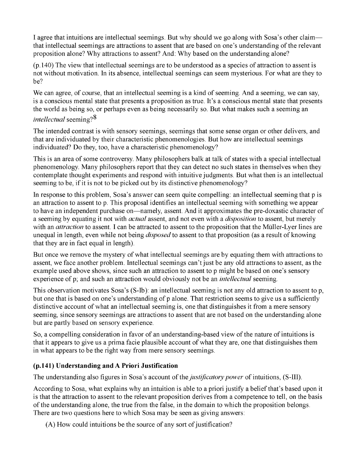I agree that intuitions are intellectual seemings. But why should we go along with Sosa's other claim that intellectual seemings are attractions to assent that are based on one's understanding of the relevant proposition alone? Why attractions to assent? And: Why based on the understanding alone?

 $(p.140)$  The view that intellectual seemings are to be understood as a species of attraction to assent is not without motivation. In its absence, intellectual seemings can seem mysterious. For what are they to be?

We can agree, of course, that an intellectual seeming is a kind of seeming. And a seeming, we can say, is a conscious mental state that presents a proposition as true. It's a conscious mental state that presents the world as being so, or perhaps even as being necessarily so. But what makes such a seeming an

# intellectual seeming?8

The intended contrast is with sensory seemings, seemings that some sense organ or other delivers, and that are individuated by their characteristic phenomenologies. But how are intellectual seemings individuated? Do they, too, have a characteristic phenomenology?

This is an area of some controversy. Many philosophers balk at talk of states with a special intellectual phenomenology. Many philosophers report that they can detect no such states in themselves when they contemplate thought experiments and respond with intuitive judgments. But what then is an intellectual seeming to be, if it is not to be picked out by its distinctive phenomenology?

In response to this problem, Sosa's answer can seem quite compelling: an intellectual seeming that p is an attraction to assent to p. This proposal identifies an intellectual seeming with something we appear to have an independent purchase on—namely, assent. And it approximates the pre-doxastic character of a seeming by equating it not with *actual* assent, and not even with a *disposition* to assent, but merely with an *attraction* to assent. I can be attracted to assent to the proposition that the Müller-Lyer lines are unequal in length, even while not being *disposed* to assent to that proposition (as a result of knowing that they are in fact equal in length).

But once we remove the mystery of what intellectual seemings are by equating them with attractions to assent, we face another problem. Intellectual seemings can't just be any old attractions to assent, as the example used above shows, since such an attraction to assent to p might be based on one's sensory experience of p; and such an attraction would obviously not be an *intellectual* seeming.

This observation motivates Sosa's (S-Ib): an intellectual seeming is not any old attraction to assent to p, but one that is based on one's understanding of p alone. That restriction seems to give us a sufficiently distinctive account of what an intellectual seeming is, one that distinguishes it from a mere sensory seeming, since sensory seemings are attractions to assent that are not based on the understanding alone but are partly based on sensory experience.

So, a compelling consideration in favor of an understanding-based view of the nature of intuitions is that it appears to give us a prima facie plausible account of what they are, one that distinguishes them in what appears to be the right way from mere sensory seemings.

### (p.141) Understanding and A Priori Justification

The understanding also figures in Sosa's account of the *justificatory power* of intuitions, (S-III).

According to Sosa, what explains why an intuition is able to a priori justify a belief that's based upon it is that the attraction to assent to the relevant proposition derives from a competence to tell, on the basis of the understanding alone, the true from the false, in the domain to which the proposition belongs. There are two questions here to which Sosa may be seen as giving answers:

(A) How could intuitions be the source of any sort of justification?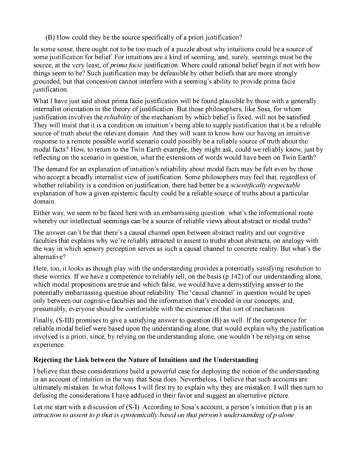(B) How could they be the source specifically of a priori justification?

In some sense, there ought not to be too much of a puzzle about why intuitions could be a source of some justification for belief. For intuitions are a kind of seeming, and, surely, seemings must be the source, at the very least, of *prima facie* justification. Where could rational belief begin if not with how things seem to be? Such justification may be defeasible by other beliefs that are more strongly grounded, but that concession cannot interfere with a seeming's ability to provide prima facie justification.

What I have just said about prima facie justification will be found plausible by those with a generally internalist orientation in the theory of justification. But those philosophers, like Sosa, for whom justification involves the *reliability* of the mechanism by which belief is fixed, will not be satisfied. They will insist that it is a condition on intuition's being able to supply justification that it be a reliable source of truth about the relevant domain. And they will want to know how our having an intuitive response to a remote possible world scenario could possibly be a reliable source of truth about the modal facts? How, to return to the Twin Earth example, they might ask, could we reliably know, just by reflecting on the scenario in question, what the extensions of words would have been on Twin Earth?

The demand for an explanation of intuition's reliability about modal facts may be felt even by those who accept a broadly internalist view of justification. Some philosophers may feel that, regardless of whether reliability is a condition on justification, there had better be a *scientifically respectable* explanation of how a given epistemic faculty could be a reliable source of truths about a particular domain.

Either way, we seem to be faced here with an embarrassing question: what's the informational route whereby our intellectual seemings can be a source of reliable views about abstract or modal truths?

The answer can't be that there's a causal channel open between abstract reality and our cognitive faculties that explains why we're reliably attracted to assent to truths about abstracta, on analogy with the way in which sensory perception serves as such a causal channel to concrete reality. But what's the alternative?

Here, too, it looks as though play with the understanding provides a potentially satisfying resolution to these worries. If we have a competence to reliably tell, on the basis (p.142) of our understanding alone, which modal propositions are true and which false, we would have a demystifying answer to the potentially embarrassing question about reliability. The 'causal channel' in question would be open only between our cognitive faculties and the information that's encoded in our concepts; and, presumably, everyone should be comfortable with the existence of that sort of mechanism.

Finally, (S-III) promises to give a satisfying answer to question (B) as well. If the competence for reliable modal belief were based upon the understanding alone, that would explain why the justification involved is a priori, since, by relying on the understanding alone, one wouldn't be relying on sense experience.

## Rejecting the Link between the Nature of Intuitions and the Understanding

I believe that these considerations build a powerful case for deploying the notion of the understanding in an account of intuition in the way that Sosa does. Nevertheless, I believe that such accounts are ultimately mistaken. In what follows I will first try to explain why they are mistaken. I will then turn to defusing the considerations I have adduced in their favor and suggest an alternative picture.

Let me start with a discussion of  $(S-I)$ . According to Sosa's account, a person's intuition that p is an attraction to assent to p that is epistemically based on that person's understanding of p alone.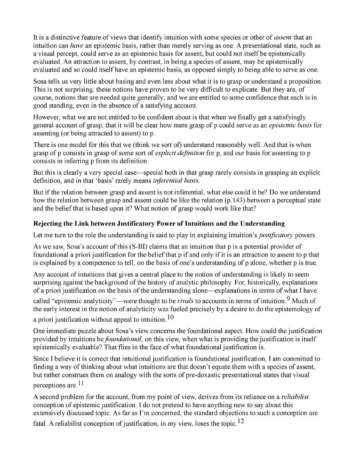It is a distinctive feature of views that identify intuition with some species or other of *assent* that an intuition can have an epistemic basis, rather than merely serving as one. A presentational state, such as a visual percept, could serve as an epistemic basis for assent, but could not itself be epistemically evaluated. An attraction to assent, by contrast, in being a species of assent, may be epistemically evaluated and so could itself have an epistemic basis, as opposed simply to being able to serve as one.

Sosa tells us very little about basing and even less about what it is to grasp or understand a proposition. This is not surprising: these notions have proven to be very difficult to explicate. But they are, of course, notions that are needed quite generally; and we are entitled to some confidence that each is in good standing, even in the absence of a satisfying account.

However, what we are not entitled to be confident about is that when we finally get a satisfyingly general account of grasp, that it will be clear how mere grasp of p could serve as an epistemic basis for assenting (or being attracted to assent) to p.

There is one model for this that we (think we sort of) understand reasonably well. And that is when grasp of p consists in grasp of some sort of *explicit definition* for p, and our basis for assenting to p consists in inferring p from its definition.

But this is clearly a very special case—special both in that grasp rarely consists in grasping an explicit definition, and in that 'basis' rarely means inferential basis.

But if the relation between grasp and assent is not inferential, what else could it be? Do we understand how the relation between grasp and assent could be like the relation (p.143) between a perceptual state and the belief that is based upon it? What notion of grasp would work like that?

## Rejecting the Link between Justificatory Power of Intuitions and the Understanding

Let me turn to the role the understanding is said to play in explaining intuition's *justificatory* powers.

As we saw, Sosa's account of this (S-III) claims that an intuition that p is a potential provider of foundational a priori justification for the belief that p if and only if it is an attraction to assent to p that is explained by a competence to tell, on the basis of one's understanding of p alone, whether p is true.

Any account of intuitions that gives a central place to the notion of understanding is likely to seem surprising against the background of the history of analytic philosophy. For, historically, explanations of a priori justification on the basis of the understanding alone—explanationsin terms of what I have

called "epistemic analyticity"—were thought to be *rivals* to accounts in terms of intuition.<sup>9</sup> Much of the early interest in the notion of analyticity was fueled precisely by a desire to do the epistemology of a priori justification without appeal to intuition.<sup>10</sup>

One immediate puzzle about Sosa's view concerns the foundational aspect. How could the justification provided by intuitions be *foundational*, on this view, when what is providing the justification is itself epistemically evaluable? That flies in the face of what foundational justification is.

Since I believe it is correct that intuitional justification is foundational justification, I am committed to finding a way of thinking about what intuitions are that doesn't equate them with a species of assent, but rather construes them on analogy with the sorts of pre-doxastic presentational states that visual perceptions are  $11$ 

A second problem for the account, from my point of view, derives from its reliance on a *reliabilist* conception of epistemic justification. I do not pretend to have anything new to say about this extensively discussed topic. As far as I'm concerned, the standard objections to such a conception are

fatal. A reliabilist conception of justification, in my view, loses the topic.<sup>12</sup>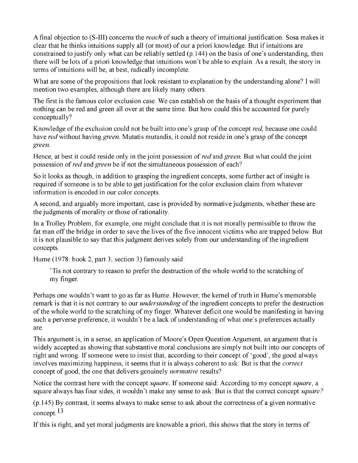A final objection to (S-III) concerns the *reach* of such a theory of intuitional justification. Sosa makes it clear that he thinks intuitions supply all (or most) of our a priori knowledge. But if intuitions are constrained to justify only what can be reliably settled (p.144) on the basis of one's understanding, then there will be lots of a priori knowledge that intuitions won't be able to explain. As a result, the story in terms of intuitions will be, at best, radically incomplete.

What are some of the propositions that look resistant to explanation by the understanding alone? I will mention two examples, although there are likely many others.

The first is the famous color exclusion case. We can establish on the basis of a thought experiment that nothing can be red and green all over at the same time. But how could this be accounted for purely conceptually?

Knowledge of the exclusion could not be built into one's grasp of the concept *red,* because one could have *red* without having *green.* Mutatis mutandis, it could not reside in one's grasp of the concept *green.*

Hence, at best it could reside only in the joint possession of *red* and *green.* But what could the joint possession of *red* and *green* be if not the simultaneous possession of each?

So it looks as though, in addition to grasping the ingredient concepts, some further act of insight is required if someone is to be able to get justification for the color exclusion claim from whatever information is encoded in our color concepts.

A second, and arguably more important, case is provided by normative judgments, whether these are the judgments of morality or those of rationality.

In a Trolley Problem, for example, one might conclude that it is not morally permissible to throw the fat man off the bridge in order to save the lives of the five innocent victims who are trapped below. But it is not plausible to say that this judgment derives solely from our understanding of the ingredient concepts.

Hume (1978: book 2, part 3, section 3) famously said:

'Tis not contrary to reason to prefer the destruction of the whole world to the scratching of my finger.

Perhaps one wouldn't want to go as far as Hume. However, the kernel of truth in Hume's memorable remark is that it is not contrary to our *understanding* of the ingredient concepts to prefer the destruction of the whole world to the scratching of my finger. Whatever deficit one would be manifesting in having such a perverse preference, it wouldn't be a lack of understanding of what one's preferences actually are.

This argument is, in a sense, an application of Moore's Open Question Argument, an argument that is widely accepted as showing that substantive moral conclusions are simply not built into our concepts of right and wrong. If someone were to insist that, according to their concept of 'good', the good always involves maximizing happiness, it seems that it is always coherent to ask: But is that the *correct* concept of good, the one that delivers genuinely *normative* results?

Notice the contrast here with the concept *square.* If someone said: According to my concept *square*, a square always has four sides, it wouldn't make any sense to ask: But is that the correct concept *square?*

(p.145) By contrast, it seems always to make sense to ask about the correctness of a given normative concept.  $13$ 

If this is right, and yet moral judgments are knowable a priori, this shows that the story in terms of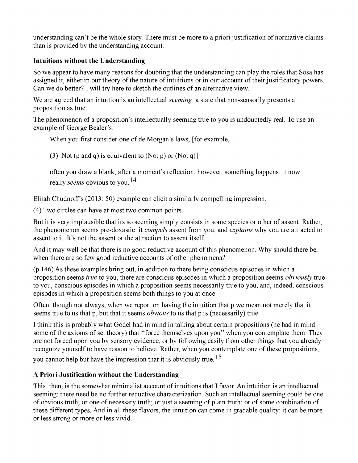understanding can't be the whole story. There must be more to a priori justification of normative claims than is provided by the understanding account.

## Intuitions without the Understanding

So we appear to have many reasons for doubting that the understanding can play the roles that Sosa has assigned it, either in our theory of the nature of intuitions or in our account of their justificatory powers. Can we do better? I will try here to sketch the outlines of an alternative view.

We are agreed that an intuition is an intellectual *seeming*: a state that non-sensorily presents a proposition as true.

The phenomenon of a proposition's intellectually seeming true to you is undoubtedly real. To use an example of George Bealer's:

When you first consider one of de Morgan's laws, [for example,

(3) Not (p and q) is equivalent to (Not p) or (Not q)]

often you draw a blank; after a moment'sreflection, however, something happens: it now really seems obvious to you.<sup>14</sup>

Elijah Chudnoff's (2013: 50) example can elicit a similarly compelling impression.

(4) Two circles can have at most two common points.

But it is very implausible that its so seeming simply consists in some species or other of assent. Rather, the phenomenon seems pre-doxastic: it *compels* assent from you, and *explains* why you are attracted to assent to it. It's not the assent or the attraction to assent itself.

And it may well be that there is no good reductive account of this phenomenon. Why should there be, when there are so few good reductive accounts of other phenomena?

(p.146) As these examples bring out, in addition to there being conscious episodes in which a proposition seems *true* to you, there are conscious episodes in which a proposition seems *obviously* true to you, conscious episodes in which a proposition seems necessarily true to you, and, indeed, conscious episodes in which a proposition seems both things to you at once.

Often, though not always, when we report on having the intuition that p we mean not merely that it seems true to us that p, but that it seems *obvious* to us that p is (necessarily) true.

I think this is probably what Godel had in mind in talking about certain propositions (he had in mind some of the axioms of set theory) that "force themselves upon you" when you contemplate them. They are not forced upon you by sensory evidence, or by following easily from other things that you already recognize yourself to have reason to believe. Rather, when you contemplate one of these propositions, you cannot help but have the impression that it is obviously true.15

## A Priori Justification without the Understanding

This, then, is the somewhat minimalist account of intuitions that I favor. An intuition is an intellectual seeming: there need be no further reductive characterization. Such an intellectual seeming could be one of obvious truth; or one of necessary truth; or just a seeming of plain truth; or of some combination of these different types. And in all these flavors, the intuition can come in gradable quality: it can be more or less strong or more or less vivid.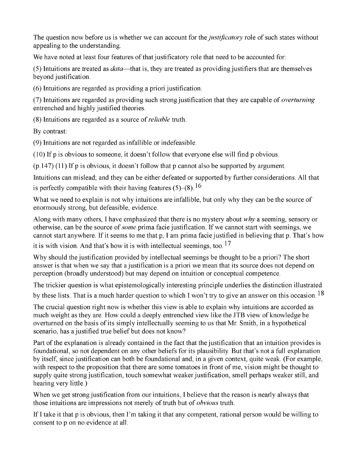The question now before us is whether we can account for the *justificatory* role of such states without appealing to the understanding.

We have noted at least four features of that justificatory role that need to be accounted for:

(5) Intuitions are treated as data—that is, they are treated as providing justifiers that are themselves beyond justification.

(6) Intuitions are regarded as providing a priori justification.

(7) Intuitions are regarded as providing such strong justification that they are capable of overturning entrenched and highly justified theories.

(8) Intuitions are regarded as a source of reliable truth.

By contrast:

(9) Intuitions are not regarded as infallible or indefeasible.

(10) If p is obvious to someone, it doesn't follow that everyone else will find p obvious.

 $(p.147)$  (11) If p is obvious, it doesn't follow that p cannot also be supported by argument.

Intuitions can mislead; and they can be either defeated or supported by further considerations.All that is perfectly compatible with their having features  $(5)$ – $(8)$ .<sup>16</sup>

What we need to explain is not why intuitions are infallible, but only why they can be the source of enormously strong, but defeasible, evidence.

Along with many others, I have emphasized that there is no mystery about  $why$  a seeming, sensory or otherwise, can be the source of *some* prima facie justification. If we cannot start with seemings, we cannot start anywhere. If it seems to me that p, I am prima facie justified in believing that p. That's how

it is with vision. And that's how it is with intellectual seemings, too.<sup>17</sup>

Why should the justification provided by intellectual seemings be thought to be a priori? The short answer is that when we say that a justification is a priori we mean that its source does not depend on perception (broadly understood) but may depend on intuition or conceptual competence.

The trickier question is what epistemologically interesting principle underlies the distinction illustrated

by these lists. That is a much harder question to which I won't try to give an answer on this occasion. <sup>18</sup>

The crucial question right now is whether this view is able to explain why intuitions are accorded as much weight as they are. How could a deeply entrenched view like the JTB view of knowledge be overturned on the basis of its simply intellectually seeming to us that Mr. Smith, in a hypothetical scenario, has a justified true belief but does not know?

Part of the explanation is already contained in the fact that the justification that an intuition provides is foundational, so not dependent on any other beliefs for its plausibility. But that's not a full explanation by itself, since justification can both be foundational and, in a given context, quite weak. (For example, with respect to the proposition that there are some tomatoes in front of me, vision might be thought to supply quite strong justification, touch somewhat weaker justification, smell perhaps weaker still, and hearing very little.)

When we get strong justification from our intuitions, I believe that the reason is nearly always that those intuitions are impressions not merely of truth but of *obvious* truth.

If I take it that p is obvious, then I'm taking it that any competent, rational person would be willing to consent to p on no evidence at all.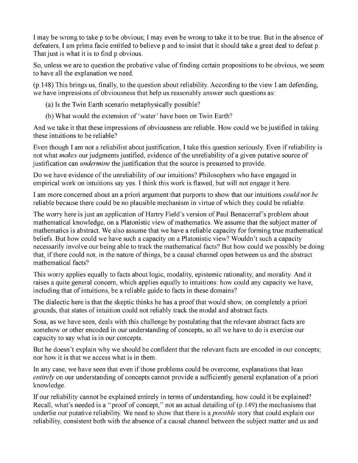I may be wrong to take p to be obvious; I may even be wrong to take it to be true. But in the absence of defeaters, I am prima facie entitled to believe p and to insist that it should take a great deal to defeat p. That just is what it is to find p obvious.

So, unless we are to question the probative value of finding certain propositions to be obvious, we seem to have all the explanation we need.

 $(p.148)$  This brings us, finally, to the question about reliability. According to the view I am defending, we have impressions of obviousness that help us reasonably answer such questions as:

(a) Is the Twin Earth scenario metaphysically possible?

(b) What would the extension of 'water' have been on Twin Earth?

And we take it that these impressions of obviousness are reliable. How could we be justified in taking these intuitions to be reliable?

Even though I am not a reliabilist about justification, I take this question seriously. Even if reliability is not what *makes* our judgments justified, evidence of the unreliability of a given putative source of justification can *undermine* the justification that the source is presumed to provide.

Do we have evidence of the unreliability of our intuitions? Philosophers who have engaged in empirical work on intuitions say yes. I think this work is flawed, but will not engage it here.

I am more concerned about an a priori argument that purports to show that our intuitions *could not be* reliable because there could be no plausible mechanism in virtue of which they could be reliable.

The worry here is just an application of Hartry Field's version of Paul Benacerraf's problem about mathematical knowledge, on a Platonistic view of mathematics. We assume that the subject matter of mathematics is abstract. We also assume that we have a reliable capacity for forming true mathematical beliefs. But how could we have such a capacity on a Platonistic view? Wouldn't such a capacity necessarily involve our being able to track the mathematical facts? But how could we possibly be doing that, if there could not, in the nature of things, be a causal channel open between us and the abstract mathematical facts?

This worry applies equally to facts about logic, modality, epistemic rationality, and morality. And it raises a quite general concern, which applies equally to intuitions: how could any capacity we have, including that of intuitions, be a reliable guide to facts in these domains?

The dialectic here is that the skeptic thinks he has a proof that would show, on completely a priori grounds, that states of intuition could not reliably track the modal and abstract facts.

Sosa, as we have seen, deals with this challenge by postulating that the relevant abstract facts are somehow or other encoded in our understanding of concepts, so all we have to do is exercise our capacity to say what is in our concepts.

But he doesn't explain why we should be confident that the relevant facts are encoded in our concepts; nor how it is that we access what is in them.

In any case, we have seen that even if those problems could be overcome, explanations that lean *entirely* on our understanding of concepts cannot provide a sufficiently general explanation of a priori knowledge.

If our reliability cannot be explained entirely in terms of understanding, how could it be explained? Recall, what's needed is a "proof of concept," not an actual detailing of (p.149) the mechanisms that underlie our putative reliability. We need to show that there is a *possible* story that could explain our reliability, consistent both with the absence of a causal channel between the subject matter and us and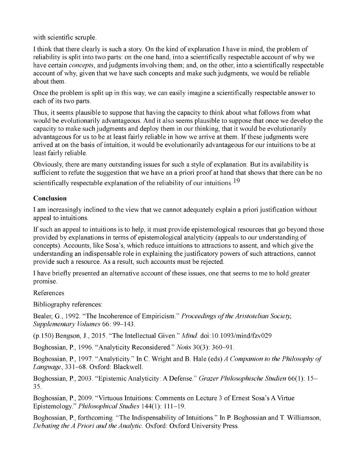with scientific scruple.

I think that there clearly is such a story. On the kind of explanation I have in mind, the problem of reliability is split into two parts: on the one hand, into a scientifically respectable account of why we have certain *concepts*, and judgments involving them; and, on the other, into a scientifically respectable account of why, given that we have such concepts and make such judgments, we would be reliable about them.

Once the problem is split up in this way, we can easily imagine a scientifically respectable answer to each of its two parts.

Thus, it seems plausible to suppose that having the capacity to think about what follows from what would be evolutionarily advantageous. And it also seems plausible to suppose that once we develop the capacity to make such judgments and deploy them in our thinking, that it would be evolutionarily advantageous for us to be at least fairly reliable in how we arrive at them. If these judgments were arrived at on the basis of intuition, it would be evolutionarily advantageous for our intuitions to be at least fairly reliable.

Obviously, there are many outstanding issues for such a style of explanation. But its availability is sufficient to refute the suggestion that we have an a priori proof at hand that shows that there can be no scientifically respectable explanation of the reliability of our intuitions.<sup>19</sup>

## Conclusion

I am increasingly inclined to the view that we cannot adequately explain a priori justification without appeal to intuitions.

If such an appeal to intuitions is to help, it must provide epistemological resources that go beyond those provided by explanations in terms of epistemological analyticity (appeals to our understanding of concepts). Accounts, like Sosa's, which reduce intuitions to attractions to assent, and which give the understanding an indispensable role in explaining the justificatory powers of such attractions, cannot provide such a resource. As a result, such accounts must be rejected.

I have briefly presented an alternative account of these issues, one that seems to me to hold greater promise.

References

Bibliography references:

Bealer, G., 1992. "The Incoherence of Empiricism." Proceedings of the Aristotelian Society, *Supplementary Volumes* 66: 99-143.

(p.150) Bengson, J., 2015. "The Intellectual Given." *Mind*. doi:10.1093/mind/fzv029

Boghossian, P., 1996. "Analyticity Reconsidered." *Nous* 30(3): 360-91.

Boghossian, P., 1997. "Analyticity." In C. Wright and B. Hale (eds) *A Companion to the Philosophy of Language*, 331-68. Oxford: Blackwell.

Boghossian, P., 2003. "Epistemic Analyticity: A Defense." *Grazer Philosophische Studien* 66(1): 15 35.

Boghossian, P., 2009. "Virtuous Intuitions: Comments on Lecture 3 of Ernest Sosa's A Virtue Epistemology." *Philosophical Studies* 144(1): 111-19.

Boghossian, P., forthcoming. "The Indispensability of Intuitions." In P. Boghossian and T. Williamson, *Debating the A Priori and the Analytic*. Oxford: Oxford University Press.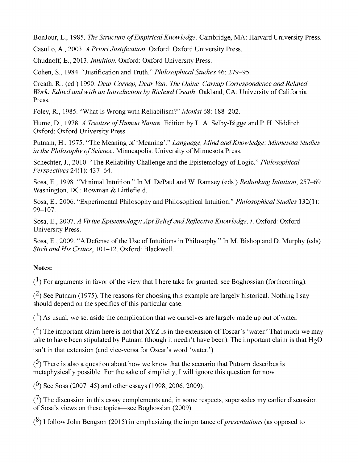BonJour, L., 1985. The Structure of Empirical Knowledge. Cambridge, MA: Harvard University Press.

Casullo, A., 2003. A Priori Justification. Oxford: Oxford University Press.

Chudnoff, E., 2013. Intuition. Oxford: Oxford University Press.

Cohen, S., 1984. "Justification and Truth." *Philosophical Studies* 46: 279-95.

Creath, R., (ed.) 1990. *Dear Carnap, Dear Van: The Quine-Carnap Correspondence andRelated Work: Editedandwith an Introduction by Richard Creath*. Oakland, CA: University of California Press.

Foley, R., 1985. "What Is Wrong with Reliabilism?" *Monist* 68: 188-202.

Hume, D., 1978. *A Treatise of Human Nature*. Edition by L. A. Selby-Bigge and P. H. Nidditch. Oxford: Oxford University Press.

Putnam, H., 1975. "The Meaning of'Meaning'." *Language, Mind andKnowledge: Minnesota Studies in* the *Philosophy of Science*. Minneapolis: University of Minnesota Press.

Schechter, J., 2010. "The Reliability Challenge and the Epistemology of Logic." *Philosophical Perspectives* 24(1): 437-64.

Sosa, E., 1998. "Minimal Intuition." In M. DePaul and W. Ramsey (eds.) *Rethinking Intuition*, 257-69. Washington, DC: Rowman & Littlefield.

Sosa, E., 2006. "Experimental Philosophy and Philosophical Intuition." *Philosophical Studies* 132(1): 99-107.

Sosa, E., 2007. *A Virtue Epistemology: Apt Belief andReflective Knowledge, i*. Oxford: Oxford University Press.

Sosa, E., 2009. "A Defense of the Use of Intuitions in Philosophy." In M. Bishop and D. Murphy (eds) *Stich and His Critics*, 101-12. Oxford: Blackwell.

## Notes:

 $(1)$  For arguments in favor of the view that I here take for granted, see Boghossian (forthcoming).

 $(2)$  See Putnam (1975). The reasons for choosing this example are largely historical. Nothing I say should depend on the specifics of this particular case.

 $(3)$  As usual, we set aside the complication that we ourselves are largely made up out of water.

 $(4)$  The important claim here is not that XYZ is in the extension of Toscar's 'water.' That much we may take to have been stipulated by Putnam (though it needn't have been). The important claim is that  $H_2O$ isn't in that extension (and vice-versa for Oscar's word 'water.')

 $(5)$  There is also a question about how we know that the scenario that Putnam describes is metaphysically possible. For the sake of simplicity, I will ignore this question for now.

 $(6)$  See Sosa (2007: 45) and other essays (1998, 2006, 2009).

 $(7)$  The discussion in this essay complements and, in some respects, supersedes my earlier discussion of Sosa's views on these topics—see Boghossian (2009).

(8) I follow John Bengson (2015) in emphasizing the importance of*presentations* (as opposed to